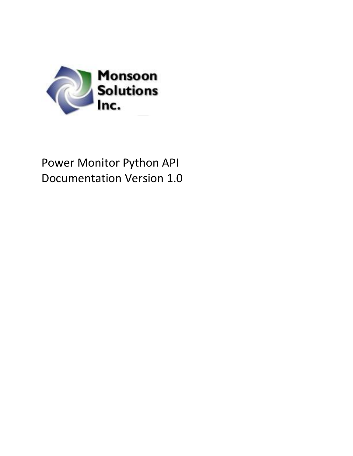

# Power Monitor Python API Documentation Version 1.0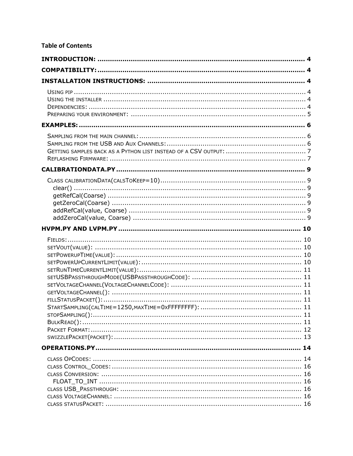## **Table of Contents**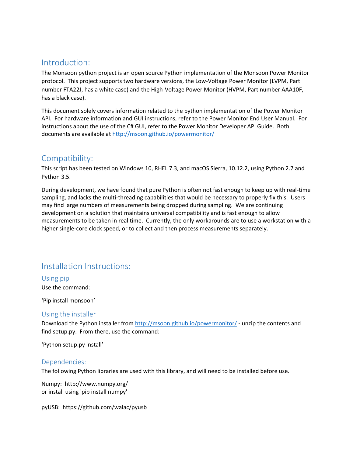## <span id="page-3-0"></span>Introduction:

The Monsoon python project is an open source Python implementation of the Monsoon Power Monitor protocol. This project supports two hardware versions, the Low-Voltage Power Monitor (LVPM, Part number FTA22J, has a white case) and the High-Voltage Power Monitor (HVPM, Part number AAA10F, has a black case).

This document solely covers information related to the python implementation of the Power Monitor API. For hardware information and GUI instructions, refer to the Power Monitor End User Manual. For instructions about the use of the C# GUI, refer to the Power Monitor Developer API Guide. Both documents are available at<http://msoon.github.io/powermonitor/>

## <span id="page-3-1"></span>Compatibility:

This script has been tested on Windows 10, RHEL 7.3, and macOS Sierra, 10.12.2, using Python 2.7 and Python 3.5.

During development, we have found that pure Python is often not fast enough to keep up with real-time sampling, and lacks the multi-threading capabilities that would be necessary to properly fix this. Users may find large numbers of measurements being dropped during sampling. We are continuing development on a solution that maintains universal compatibility and is fast enough to allow measurements to be taken in real time. Currently, the only workarounds are to use a workstation with a higher single-core clock speed, or to collect and then process measurements separately.

## <span id="page-3-2"></span>Installation Instructions:

<span id="page-3-3"></span>Using pip Use the command:

'Pip install monsoon'

### <span id="page-3-4"></span>Using the installer

Download the Python installer from<http://msoon.github.io/powermonitor/> - unzip the contents and find setup.py. From there, use the command:

'Python setup.py install'

### <span id="page-3-5"></span>Dependencies:

The following Python libraries are used with this library, and will need to be installed before use.

Numpy: http://www.numpy.org/ or install using 'pip install numpy'

pyUSB: https://github.com/walac/pyusb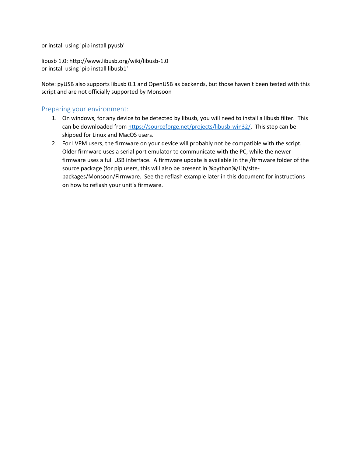or install using 'pip install pyusb'

libusb 1.0: http://www.libusb.org/wiki/libusb-1.0 or install using 'pip install libusb1'

Note: pyUSB also supports libusb 0.1 and OpenUSB as backends, but those haven't been tested with this script and are not officially supported by Monsoon

### <span id="page-4-0"></span>Preparing your environment:

- 1. On windows, for any device to be detected by libusb, you will need to install a libusb filter. This can be downloaded from [https://sourceforge.net/projects/libusb-win32/.](https://sourceforge.net/projects/libusb-win32/) This step can be skipped for Linux and MacOS users.
- 2. For LVPM users, the firmware on your device will probably not be compatible with the script. Older firmware uses a serial port emulator to communicate with the PC, while the newer firmware uses a full USB interface. A firmware update is available in the /firmware folder of the source package (for pip users, this will also be present in %python%/Lib/sitepackages/Monsoon/Firmware. See the reflash example later in this document for instructions on how to reflash your unit's firmware.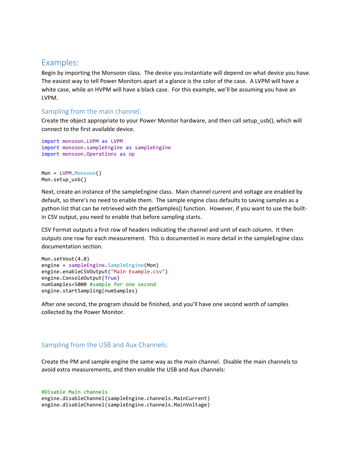## <span id="page-5-0"></span>Examples:

Begin by importing the Monsoon class. The device you instantiate will depend on what device you have. The easiest way to tell Power Monitors apart at a glance is the color of the case. A LVPM will have a white case, while an HVPM will have a black case. For this example, we'll be assuming you have an LVPM.

### <span id="page-5-1"></span>Sampling from the main channel:

Create the object appropriate to your Power Monitor hardware, and then call setup\_usb(), which will connect to the first available device.

```
import monsoon.LVPM as LVPM
import monsoon.sampleEngine as sampleEngine
import monsoon.Operations as op
```

```
Mon = LVPM.Monsoon()
Mon.setup_usb()
```
Next, create an instance of the sampleEngine class. Main channel current and voltage are enabled by default, so there's no need to enable them. The sample engine class defaults to saving samples as a python list that can be retrieved with the getSamples() function. However, if you want to use the builtin CSV output, you need to enable that before sampling starts.

CSV Format outputs a first row of headers indicating the channel and unit of each column. It then outputs one row for each measurement. This is documented in more detail in the sampleEngine class documentation section.

```
Mon.setVout(4.0)
engine = sampleEngine.SampleEngine(Mon)
engine.enableCSVOutput("Main Example.csv")
engine.ConsoleOutput(True)
numSamples=5000 #sample for one second
engine.startSampling(numSamples)
```
After one second, the program should be finished, and you'll have one second worth of samples collected by the Power Monitor.

### <span id="page-5-2"></span>Sampling from the USB and Aux Channels:

Create the PM and sample engine the same way as the main channel. Disable the main channels to avoid extra measurements, and then enable the USB and Aux channels:

```
#Disable Main channels
engine.disableChannel(sampleEngine.channels.MainCurrent)
engine.disableChannel(sampleEngine.channels.MainVoltage)
```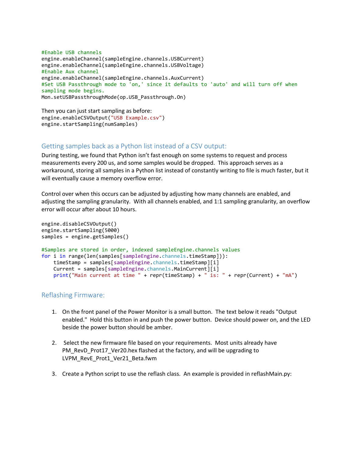```
#Enable USB channels
engine.enableChannel(sampleEngine.channels.USBCurrent)
engine.enableChannel(sampleEngine.channels.USBVoltage)
#Enable Aux channel
engine.enableChannel(sampleEngine.channels.AuxCurrent)
#Set USB Passthrough mode to 'on,' since it defaults to 'auto' and will turn off when 
sampling mode begins.
Mon.setUSBPassthroughMode(op.USB_Passthrough.On)
```

```
Then you can just start sampling as before:
engine.enableCSVOutput("USB Example.csv")
engine.startSampling(numSamples)
```
### <span id="page-6-0"></span>Getting samples back as a Python list instead of a CSV output:

During testing, we found that Python isn't fast enough on some systems to request and process measurements every 200 us, and some samples would be dropped. This approach serves as a workaround, storing all samples in a Python list instead of constantly writing to file is much faster, but it will eventually cause a memory overflow error.

Control over when this occurs can be adjusted by adjusting how many channels are enabled, and adjusting the sampling granularity. With all channels enabled, and 1:1 sampling granularity, an overflow error will occur after about 10 hours.

```
engine.disableCSVOutput()
engine.startSampling(5000)
samples = engine.getSamples()
#Samples are stored in order, indexed sampleEngine.channels values
for i in range(len(samples[sampleEngine.channels.timeStamp])):
    timeStamp = samples[sampleEngine.channels.timeStamp][i]
     Current = samples[sampleEngine.channels.MainCurrent][i]
    print("Main current at time " + repr(timeStamp) + " is: " + repr(Current) + "mA")
```
#### <span id="page-6-1"></span>Reflashing Firmware:

- 1. On the front panel of the Power Monitor is a small button. The text below it reads "Output enabled." Hold this button in and push the power button. Device should power on, and the LED beside the power button should be amber.
- 2. Select the new firmware file based on your requirements. Most units already have PM\_RevD\_Prot17\_Ver20.hex flashed at the factory, and will be upgrading to LVPM\_RevE\_Prot1\_Ver21\_Beta.fwm
- 3. Create a Python script to use the reflash class. An example is provided in reflashMain.py: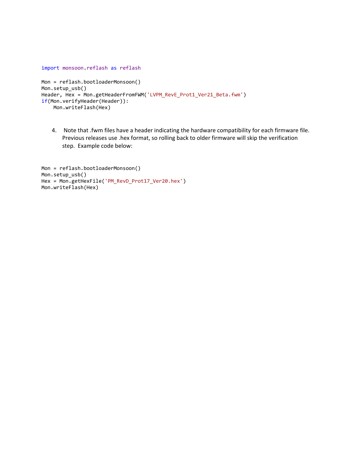```
import monsoon.reflash as reflash
Mon = reflash.bootloaderMonsoon()
Mon.setup_usb()
Header, Hex = Mon.getHeaderFromFWM('LVPM_RevE_Prot1_Ver21_Beta.fwm')
if(Mon.verifyHeader(Header)):
     Mon.writeFlash(Hex)
```
4. Note that .fwm files have a header indicating the hardware compatibility for each firmware file. Previous releases use .hex format, so rolling back to older firmware will skip the verification step. Example code below:

```
Mon = reflash.bootloaderMonsoon()
Mon.setup usb()
Hex = Mon.getHexFile('PM_RevD_Prot17_Ver20.hex')
Mon.writeFlash(Hex)
```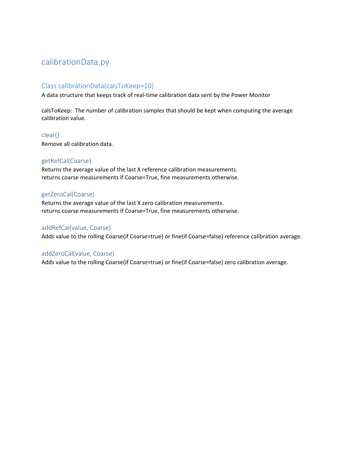## <span id="page-8-0"></span>calibrationData.py

### <span id="page-8-1"></span>Class calibrationData(calsToKeep=10)

A data structure that keeps track of real-time calibration data sent by the Power Monitor

calsToKeep: The number of calibration samples that should be kept when computing the average calibration value.

### <span id="page-8-2"></span>clear()

Remove all calibration data.

### <span id="page-8-3"></span>getRefCal(Coarse)

Returns the average value of the last X reference calibration measurements. returns coarse measurements if Coarse=True, fine measurements otherwise.

### <span id="page-8-4"></span>getZeroCal(Coarse)

Returns the average value of the last X zero calibration measurements. returns coarse measurements if Coarse=True, fine measurements otherwise.

### <span id="page-8-5"></span>addRefCal(value, Coarse)

Adds value to the rolling Coarse(if Coarse=true) or fine(if Coarse=false) reference calibration average.

### <span id="page-8-6"></span>addZeroCal(value, Coarse)

Adds value to the rolling Coarse(if Coarse=true) or fine(if Coarse=false) zero calibration average.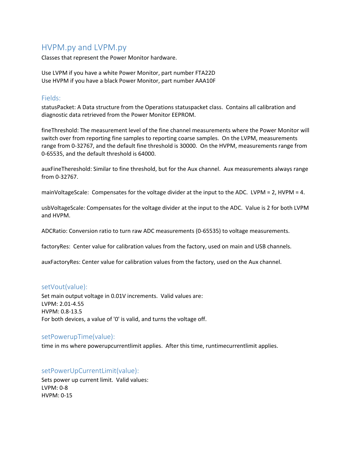## <span id="page-9-0"></span>HVPM.py and LVPM.py

Classes that represent the Power Monitor hardware.

Use LVPM if you have a white Power Monitor, part number FTA22D Use HVPM if you have a black Power Monitor, part number AAA10F

### <span id="page-9-1"></span>Fields:

statusPacket: A Data structure from the Operations statuspacket class. Contains all calibration and diagnostic data retrieved from the Power Monitor EEPROM.

fineThreshold: The measurement level of the fine channel measurements where the Power Monitor will switch over from reporting fine samples to reporting coarse samples. On the LVPM, measurements range from 0-32767, and the default fine threshold is 30000. On the HVPM, measurements range from 0-65535, and the default threshold is 64000.

auxFineThereshold: Similar to fine threshold, but for the Aux channel. Aux measurements always range from 0-32767.

mainVoltageScale: Compensates for the voltage divider at the input to the ADC. LVPM = 2, HVPM = 4.

usbVoltageScale: Compensates for the voltage divider at the input to the ADC. Value is 2 for both LVPM and HVPM.

ADCRatio: Conversion ratio to turn raw ADC measurements (0-65535) to voltage measurements.

factoryRes: Center value for calibration values from the factory, used on main and USB channels.

auxFactoryRes: Center value for calibration values from the factory, used on the Aux channel.

### <span id="page-9-2"></span>setVout(value):

Set main output voltage in 0.01V increments. Valid values are: LVPM: 2.01-4.55 HVPM: 0.8-13.5 For both devices, a value of '0' is valid, and turns the voltage off.

### <span id="page-9-3"></span>setPowerupTime(value):

time in ms where powerupcurrentlimit applies. After this time, runtimecurrentlimit applies.

### <span id="page-9-4"></span>setPowerUpCurrentLimit(value):

Sets power up current limit. Valid values: LVPM: 0-8 HVPM: 0-15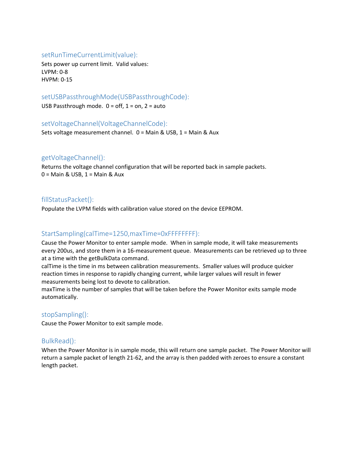### <span id="page-10-0"></span>setRunTimeCurrentLimit(value):

Sets power up current limit. Valid values: LVPM: 0-8 HVPM: 0-15

### <span id="page-10-1"></span>setUSBPassthroughMode(USBPassthroughCode):

USB Passthrough mode.  $0 = \text{off}$ ,  $1 = \text{on}$ ,  $2 = \text{auto}$ 

#### <span id="page-10-2"></span>setVoltageChannel(VoltageChannelCode):

Sets voltage measurement channel. 0 = Main & USB, 1 = Main & Aux

### <span id="page-10-3"></span>getVoltageChannel():

Returns the voltage channel configuration that will be reported back in sample packets.  $0 =$  Main & USB,  $1 =$  Main & Aux

### <span id="page-10-4"></span>fillStatusPacket():

Populate the LVPM fields with calibration value stored on the device EEPROM.

### <span id="page-10-5"></span>StartSampling(calTime=1250,maxTime=0xFFFFFFFF):

Cause the Power Monitor to enter sample mode. When in sample mode, it will take measurements every 200us, and store them in a 16-measurement queue. Measurements can be retrieved up to three at a time with the getBulkData command.

calTime is the time in ms between calibration measurements. Smaller values will produce quicker reaction times in response to rapidly changing current, while larger values will result in fewer measurements being lost to devote to calibration.

maxTime is the number of samples that will be taken before the Power Monitor exits sample mode automatically.

### <span id="page-10-6"></span>stopSampling():

Cause the Power Monitor to exit sample mode.

### <span id="page-10-7"></span>BulkRead():

When the Power Monitor is in sample mode, this will return one sample packet. The Power Monitor will return a sample packet of length 21-62, and the array is then padded with zeroes to ensure a constant length packet.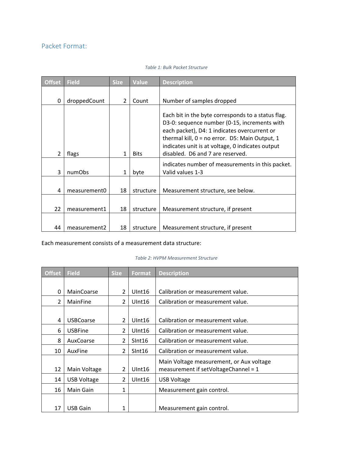## <span id="page-11-0"></span>Packet Format:

| <b>Offset</b>  | <b>Field</b>             | <b>Size</b>    | <b>Value</b> | <b>Description</b>                                                                                                                                                                                                                                                                             |  |
|----------------|--------------------------|----------------|--------------|------------------------------------------------------------------------------------------------------------------------------------------------------------------------------------------------------------------------------------------------------------------------------------------------|--|
|                |                          |                |              |                                                                                                                                                                                                                                                                                                |  |
| 0              | droppedCount             | $\overline{2}$ | Count        | Number of samples dropped                                                                                                                                                                                                                                                                      |  |
| $\overline{2}$ | flags                    | 1              | <b>Bits</b>  | Each bit in the byte corresponds to a status flag.<br>D3-0: sequence number (0-15, increments with<br>each packet), D4: 1 indicates overcurrent or<br>thermal kill, $0 = no$ error. D5: Main Output, 1<br>indicates unit is at voltage, 0 indicates output<br>disabled. D6 and 7 are reserved. |  |
|                |                          |                |              | indicates number of measurements in this packet.                                                                                                                                                                                                                                               |  |
| 3              | numObs                   | 1              | byte         | Valid values 1-3                                                                                                                                                                                                                                                                               |  |
| 4              | measurement0             | 18             | structure    | Measurement structure, see below.                                                                                                                                                                                                                                                              |  |
| 22             | measurement1             | 18             | structure    | Measurement structure, if present                                                                                                                                                                                                                                                              |  |
| 44             | measurement <sub>2</sub> | 18             | structure    | Measurement structure, if present                                                                                                                                                                                                                                                              |  |

#### *Table 1: Bulk Packet Structure*

Each measurement consists of a measurement data structure:

*Table 2: HVPM Measurement Structure*

| <b>Offset</b>  | <b>Field</b>       | <b>Size</b>    | <b>Format</b>      | <b>Description</b>                       |  |
|----------------|--------------------|----------------|--------------------|------------------------------------------|--|
|                |                    |                |                    |                                          |  |
| 0              | MainCoarse         | 2              | UInt16             | Calibration or measurement value.        |  |
| $\overline{2}$ | MainFine           | $\overline{2}$ | UInt16             | Calibration or measurement value.        |  |
|                |                    |                |                    |                                          |  |
| 4              | <b>USBCoarse</b>   | $\overline{2}$ | UInt16             | Calibration or measurement value.        |  |
| 6              | <b>USBFine</b>     | $\overline{2}$ | UInt16             | Calibration or measurement value.        |  |
| 8              | AuxCoarse          | 2              | SInt <sub>16</sub> | Calibration or measurement value.        |  |
| 10             | AuxFine            | 2              | SInt16             | Calibration or measurement value.        |  |
|                |                    |                |                    | Main Voltage measurement, or Aux voltage |  |
| 12             | Main Voltage       | 2              | UInt16             | measurement if setVoltageChannel = 1     |  |
| 14             | <b>USB Voltage</b> | 2              | UInt16             | <b>USB Voltage</b>                       |  |
| 16             | Main Gain          | 1              |                    | Measurement gain control.                |  |
|                |                    |                |                    |                                          |  |
| 17             | <b>USB Gain</b>    |                |                    | Measurement gain control.                |  |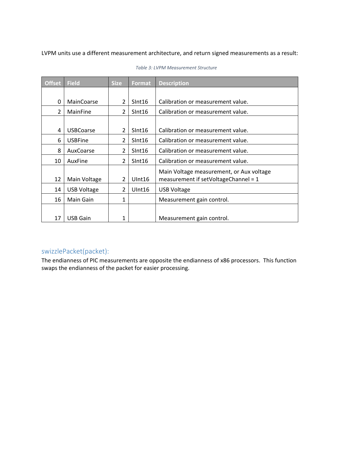LVPM units use a different measurement architecture, and return signed measurements as a result:

| <b>Offset</b>  | <b>Field</b>       | <b>Size</b>    | <b>Format</b>      | <b>Description</b>                       |  |
|----------------|--------------------|----------------|--------------------|------------------------------------------|--|
|                |                    |                |                    |                                          |  |
| $\Omega$       | <b>MainCoarse</b>  | $\overline{2}$ | SInt16             | Calibration or measurement value.        |  |
| $\overline{2}$ | MainFine           | $\overline{2}$ | SInt <sub>16</sub> | Calibration or measurement value.        |  |
|                |                    |                |                    |                                          |  |
| 4              | <b>USBCoarse</b>   | $\overline{2}$ | SInt <sub>16</sub> | Calibration or measurement value.        |  |
| 6              | <b>USBFine</b>     | $\overline{2}$ | SInt16             | Calibration or measurement value.        |  |
| 8              | AuxCoarse          | $\overline{2}$ | SInt16             | Calibration or measurement value.        |  |
| 10             | AuxFine            | $\overline{2}$ | SInt16             | Calibration or measurement value.        |  |
|                |                    |                |                    | Main Voltage measurement, or Aux voltage |  |
| 12             | Main Voltage       | $\overline{2}$ | UInt16             | measurement if setVoltageChannel = 1     |  |
| 14             | <b>USB Voltage</b> | $\overline{2}$ | UInt16             | <b>USB Voltage</b>                       |  |
| 16             | Main Gain          | 1              |                    | Measurement gain control.                |  |
|                |                    |                |                    |                                          |  |
| 17             | <b>USB Gain</b>    | 1              |                    | Measurement gain control.                |  |

*Table 3: LVPM Measurement Structure*

### <span id="page-12-0"></span>swizzlePacket(packet):

The endianness of PIC measurements are opposite the endianness of x86 processors. This function swaps the endianness of the packet for easier processing.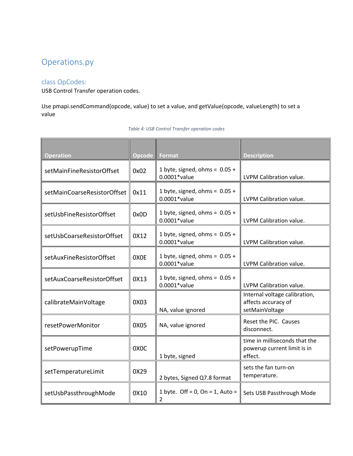## <span id="page-13-0"></span>Operations.py

### <span id="page-13-1"></span>class OpCodes:

USB Control Transfer operation codes.

Use pmapi.sendCommand(opcode, value) to set a value, and getValue(opcode, valueLength) to set a value

### **Operation COPERTIAL COPERTIAL COPERTIAL COPERTIAL COPERTIAL COPERTIAL COPERTIAL COPERTIAL COPERTIAL COPERTIAL COPERTIAL COPERTIAL COPERTIAL COPERTIAL COPERTIAL COPERTIAL COPERTIAL COPERTIAL COPERTIAL COPERTIAL COPERTIAL** setMainFineResistorOffset  $\begin{bmatrix} 0 \times 02 \\ 0 \times 002 \end{bmatrix}$  1 byte, signed, ohms = 0.05 + LVPM Calibration value. setMainCoarseResistorOffset  $\begin{bmatrix} 0x11 \ 0x11 \end{bmatrix}$  1 byte, signed, ohms = 0.05 + LVPM Calibration value. setUsbFineResistorOffset  $\begin{bmatrix} 0 \times 0D \\ 0 \times 00 \end{bmatrix}$  1 byte, signed, ohms = 0.05 + LVPM Calibration value. setUsbCoarseResistorOffset  $\begin{bmatrix} 0 & 1 & 1 \\ 0 & 1 & 0 \end{bmatrix}$  byte, signed, ohms = 0.05 + LVPM Calibration value. setAuxFineResistorOffset  $\begin{bmatrix} 0 \ 0 \end{bmatrix}$   $\begin{bmatrix} 1 \ 0 \end{bmatrix}$  byte, signed, ohms = 0.05 + LVPM Calibration value. setAuxCoarseResistorOffset  $\begin{bmatrix} 0 & 1 & 1 \\ 0 & 0 & 1 \end{bmatrix}$  byte, signed, ohms = 0.05 + LVPM Calibration value.  $cal$ is calibrateMainVoltage  $\parallel$  0X03 NA, value ignored Internal voltage calibration, affects accuracy of setMainVoltage resetPowerMonitor  $\parallel$  0X05  $\parallel$  NA, value ignored Reset the PIC. Causes disconnect. setPowerupTime | 0X0C 1 byte, signed time in milliseconds that the powerup current limit is in effect. setTemperatureLimit | 0X29 sets the fan turn-on

2 bytes, Signed Q7.8 format

setUsbPassthroughMode  $\parallel$  0X10  $\parallel$  1 byte. Off = 0, On = 1, Auto =

2

temperature.

Sets USB Passthrough Mode

#### *Table 4: USB Control Transfer operation codes*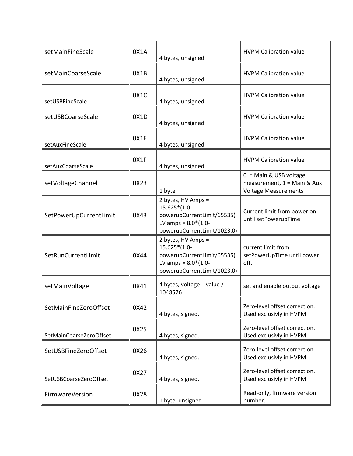| setMainFineScale        | 0X1A | 4 bytes, unsigned                                                                                                          | <b>HVPM Calibration value</b>                                                          |
|-------------------------|------|----------------------------------------------------------------------------------------------------------------------------|----------------------------------------------------------------------------------------|
| setMainCoarseScale      | 0X1B | 4 bytes, unsigned                                                                                                          | <b>HVPM Calibration value</b>                                                          |
| setUSBFineScale         | 0X1C | 4 bytes, unsigned                                                                                                          | <b>HVPM Calibration value</b>                                                          |
| setUSBCoarseScale       | 0X1D | 4 bytes, unsigned                                                                                                          | <b>HVPM Calibration value</b>                                                          |
| setAuxFineScale         | OX1E | 4 bytes, unsigned                                                                                                          | <b>HVPM Calibration value</b>                                                          |
| setAuxCoarseScale       | 0X1F | 4 bytes, unsigned                                                                                                          | <b>HVPM Calibration value</b>                                                          |
| setVoltageChannel       | 0X23 | 1 byte                                                                                                                     | $0 =$ Main & USB voltage<br>measurement, 1 = Main & Aux<br><b>Voltage Measurements</b> |
| SetPowerUpCurrentLimit  | 0X43 | 2 bytes, HV Amps =<br>$15.625*(1.0-$<br>powerupCurrentLimit/65535)<br>LV amps = $8.0*(1.0-$<br>powerupCurrentLimit/1023.0) | Current limit from power on<br>until setPowerupTime                                    |
| SetRunCurrentLimit      | 0X44 | 2 bytes, HV Amps =<br>$15.625*(1.0-$<br>powerupCurrentLimit/65535)<br>LV amps = $8.0*(1.0-$<br>powerupCurrentLimit/1023.0) | current limit from<br>setPowerUpTime until power<br>off.                               |
| setMainVoltage          | 0X41 | 4 bytes, voltage = value /<br>1048576                                                                                      | set and enable output voltage                                                          |
| SetMainFineZeroOffset   | 0X42 | 4 bytes, signed.                                                                                                           | Zero-level offset correction.<br>Used exclusivly in HVPM                               |
| SetMainCoarseZeroOffset | 0X25 | 4 bytes, signed.                                                                                                           | Zero-level offset correction.<br>Used exclusivly in HVPM                               |
| SetUSBFineZeroOffset    | 0X26 | 4 bytes, signed.                                                                                                           | Zero-level offset correction.<br>Used exclusivly in HVPM                               |
| SetUSBCoarseZeroOffset  | 0X27 | 4 bytes, signed.                                                                                                           | Zero-level offset correction.<br>Used exclusivly in HVPM                               |
| FirmwareVersion         | 0X28 | 1 byte, unsigned                                                                                                           | Read-only, firmware version<br>number.                                                 |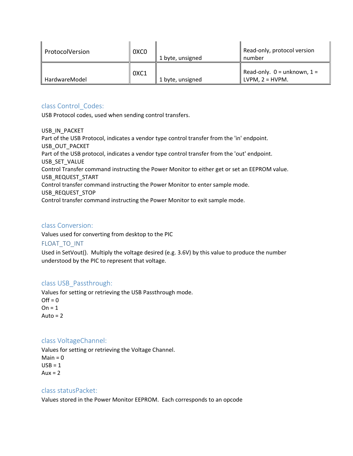| ProtocolVersion | 0XC0 | 1 byte, unsigned | Read-only, protocol version<br>number                          |
|-----------------|------|------------------|----------------------------------------------------------------|
| HardwareModel   | 0XC1 | 1 byte, unsigned | Read-only. $0 =$ unknown, $1 =$<br>$\parallel$ LVPM. 2 = HVPM. |

### <span id="page-15-0"></span>class Control\_Codes:

USB Protocol codes, used when sending control transfers.

USB\_IN\_PACKET Part of the USB Protocol, indicates a vendor type control transfer from the 'in' endpoint. USB\_OUT\_PACKET Part of the USB protocol, indicates a vendor type control transfer from the 'out' endpoint. USB\_SET\_VALUE Control Transfer command instructing the Power Monitor to either get or set an EEPROM value. USB\_REQUEST\_START Control transfer command instructing the Power Monitor to enter sample mode. USB\_REQUEST\_STOP Control transfer command instructing the Power Monitor to exit sample mode.

### <span id="page-15-1"></span>class Conversion:

Values used for converting from desktop to the PIC

### <span id="page-15-2"></span>FLOAT TO INT

Used in SetVout(). Multiply the voltage desired (e.g. 3.6V) by this value to produce the number understood by the PIC to represent that voltage.

### <span id="page-15-3"></span>class USB\_Passthrough:

Values for setting or retrieving the USB Passthrough mode.  $Off = 0$  $On = 1$ Auto  $= 2$ 

### <span id="page-15-4"></span>class VoltageChannel:

Values for setting or retrieving the Voltage Channel.  $Main = 0$  $USB = 1$  $Aux = 2$ 

### <span id="page-15-5"></span>class statusPacket:

Values stored in the Power Monitor EEPROM. Each corresponds to an opcode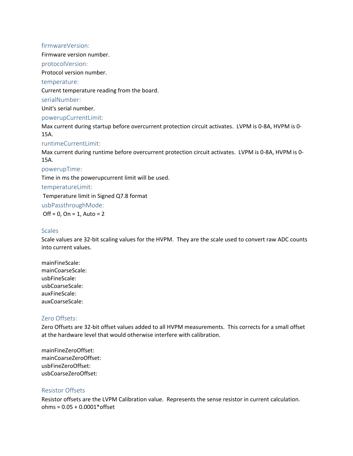#### <span id="page-16-0"></span>firmwareVersion:

Firmware version number.

#### <span id="page-16-1"></span>protocolVersion:

Protocol version number.

#### <span id="page-16-2"></span>temperature:

Current temperature reading from the board.

#### <span id="page-16-3"></span>serialNumber:

Unit's serial number.

#### <span id="page-16-4"></span>powerupCurrentLimit:

Max current during startup before overcurrent protection circuit activates. LVPM is 0-8A, HVPM is 0- 15A.

#### <span id="page-16-5"></span>runtimeCurrentLimit:

Max current during runtime before overcurrent protection circuit activates. LVPM is 0-8A, HVPM is 0- 15A.

#### <span id="page-16-6"></span>powerupTime:

Time in ms the powerupcurrent limit will be used.

#### <span id="page-16-7"></span>temperatureLimit:

Temperature limit in Signed Q7.8 format

#### <span id="page-16-8"></span>usbPassthroughMode:

 $Off = 0, On = 1, Auto = 2$ 

#### <span id="page-16-9"></span>Scales

Scale values are 32-bit scaling values for the HVPM. They are the scale used to convert raw ADC counts into current values.

### mainFineScale: mainCoarseScale: usbFineScale: usbCoarseScale: auxFineScale: auxCoarseScale:

### <span id="page-16-10"></span>Zero Offsets:

Zero Offsets are 32-bit offset values added to all HVPM measurements. This corrects for a small offset at the hardware level that would otherwise interfere with calibration.

mainFineZeroOffset: mainCoarseZeroOffset: usbFineZeroOffset: usbCoarseZeroOffset:

#### <span id="page-16-11"></span>Resistor Offsets

Resistor offsets are the LVPM Calibration value. Represents the sense resistor in current calculation. ohms = 0.05 + 0.0001\*offset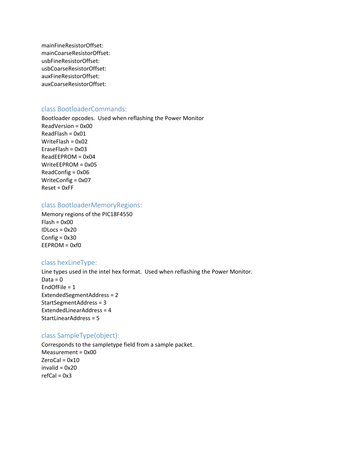mainFineResistorOffset: mainCoarseResistorOffset: usbFineResistorOffset: usbCoarseResistorOffset: auxFineResistorOffset: auxCoarseResistorOffset:

### <span id="page-17-0"></span>class BootloaderCommands:

Bootloader opcodes. Used when reflashing the Power Monitor ReadVersion = 0x00 ReadFlash = 0x01 WriteFlash = 0x02 EraseFlash = 0x03 ReadEEPROM = 0x04 WriteEEPROM = 0x05 ReadConfig = 0x06 WriteConfig = 0x07  $Reset = 0xFF$ 

### <span id="page-17-1"></span>class BootloaderMemoryRegions:

Memory regions of the PIC18F4550  $Flash = 0x00$  $IDLock = 0x20$ Config  $= 0x30$ EEPROM = 0xf0

### <span id="page-17-2"></span>class hexLineType:

Line types used in the intel hex format. Used when reflashing the Power Monitor.  $Data = 0$ EndOfFile = 1 ExtendedSegmentAddress = 2 StartSegmentAddress = 3 ExtendedLinearAddress = 4 StartLinearAddress = 5

### <span id="page-17-3"></span>class SampleType(object):

Corresponds to the sampletype field from a sample packet. Measurement = 0x00  $ZeroCal = 0x10$  $invalid = 0x20$  $refCal = 0x3$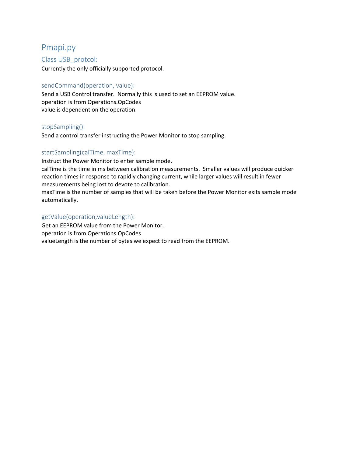## <span id="page-18-0"></span>Pmapi.py

### <span id="page-18-1"></span>Class USB\_protcol:

Currently the only officially supported protocol.

### <span id="page-18-2"></span>sendCommand(operation, value):

Send a USB Control transfer. Normally this is used to set an EEPROM value. operation is from Operations.OpCodes value is dependent on the operation.

### <span id="page-18-3"></span>stopSampling():

automatically.

Send a control transfer instructing the Power Monitor to stop sampling.

### <span id="page-18-4"></span>startSampling(calTime, maxTime):

Instruct the Power Monitor to enter sample mode. calTime is the time in ms between calibration measurements. Smaller values will produce quicker reaction times in response to rapidly changing current, while larger values will result in fewer measurements being lost to devote to calibration. maxTime is the number of samples that will be taken before the Power Monitor exits sample mode

### <span id="page-18-5"></span>getValue(operation,valueLength):

Get an EEPROM value from the Power Monitor. operation is from Operations.OpCodes valueLength is the number of bytes we expect to read from the EEPROM.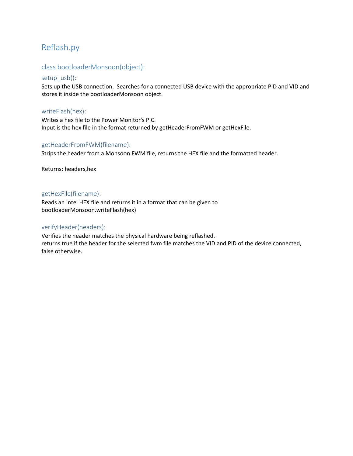## <span id="page-19-0"></span>Reflash.py

### <span id="page-19-1"></span>class bootloaderMonsoon(object):

### <span id="page-19-2"></span>setup\_usb():

Sets up the USB connection. Searches for a connected USB device with the appropriate PID and VID and stores it inside the bootloaderMonsoon object.

### <span id="page-19-3"></span>writeFlash(hex):

Writes a hex file to the Power Monitor's PIC. Input is the hex file in the format returned by getHeaderFromFWM or getHexFile.

### <span id="page-19-4"></span>getHeaderFromFWM(filename):

Strips the header from a Monsoon FWM file, returns the HEX file and the formatted header.

Returns: headers,hex

### <span id="page-19-5"></span>getHexFile(filename):

Reads an Intel HEX file and returns it in a format that can be given to bootloaderMonsoon.writeFlash(hex)

### <span id="page-19-6"></span>verifyHeader(headers):

Verifies the header matches the physical hardware being reflashed. returns true if the header for the selected fwm file matches the VID and PID of the device connected, false otherwise.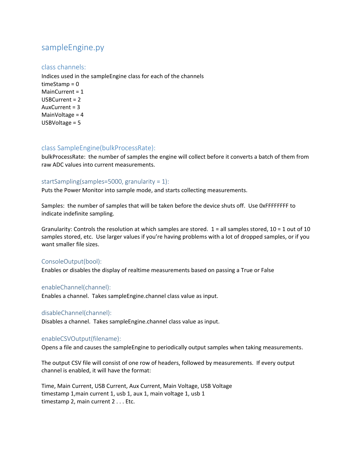## <span id="page-20-0"></span>sampleEngine.py

### <span id="page-20-1"></span>class channels:

Indices used in the sampleEngine class for each of the channels timeStamp = 0 MainCurrent = 1 USBCurrent = 2 AuxCurrent = 3 MainVoltage = 4 USBVoltage = 5

### <span id="page-20-2"></span>class SampleEngine(bulkProcessRate):

bulkProcessRate: the number of samples the engine will collect before it converts a batch of them from raw ADC values into current measurements.

#### <span id="page-20-3"></span>startSampling(samples=5000, granularity = 1):

Puts the Power Monitor into sample mode, and starts collecting measurements.

Samples: the number of samples that will be taken before the device shuts off. Use 0xFFFFFFFF to indicate indefinite sampling.

Granularity: Controls the resolution at which samples are stored.  $1 =$  all samples stored,  $10 = 1$  out of  $10$ samples stored, etc. Use larger values if you're having problems with a lot of dropped samples, or if you want smaller file sizes.

### <span id="page-20-4"></span>ConsoleOutput(bool):

Enables or disables the display of realtime measurements based on passing a True or False

#### <span id="page-20-5"></span>enableChannel(channel):

Enables a channel. Takes sampleEngine.channel class value as input.

#### <span id="page-20-6"></span>disableChannel(channel):

Disables a channel. Takes sampleEngine.channel class value as input.

#### <span id="page-20-7"></span>enableCSVOutput(filename):

Opens a file and causes the sampleEngine to periodically output samples when taking measurements.

The output CSV file will consist of one row of headers, followed by measurements. If every output channel is enabled, it will have the format:

Time, Main Current, USB Current, Aux Current, Main Voltage, USB Voltage timestamp 1,main current 1, usb 1, aux 1, main voltage 1, usb 1 timestamp 2, main current 2 . . . Etc.